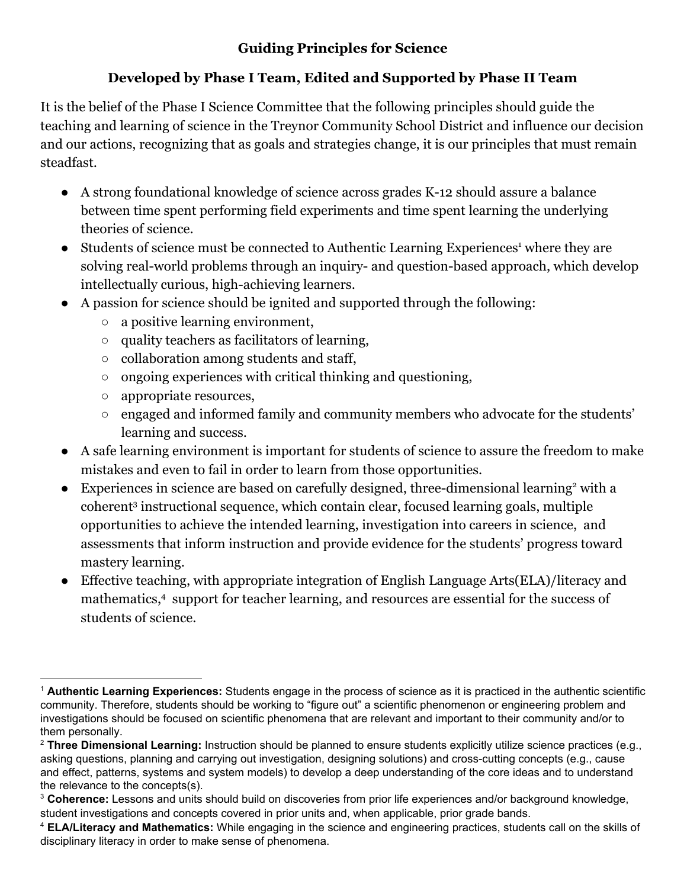## **Guiding Principles for Science**

## **Developed by Phase I Team, Edited and Supported by Phase II Team**

It is the belief of the Phase I Science Committee that the following principles should guide the teaching and learning of science in the Treynor Community School District and influence our decision and our actions, recognizing that as goals and strategies change, it is our principles that must remain steadfast.

- A strong foundational knowledge of science across grades K-12 should assure a balance between time spent performing field experiments and time spent learning the underlying theories of science.
- $\bullet$  Students of science must be connected to Authentic Learning Experiences<sup>1</sup> where they are solving real-world problems through an inquiry- and question-based approach, which develop intellectually curious, high-achieving learners.
- A passion for science should be ignited and supported through the following:
	- a positive learning environment,
	- quality teachers as facilitators of learning,
	- collaboration among students and staff,
	- ongoing experiences with critical thinking and questioning,
	- appropriate resources,
	- engaged and informed family and community members who advocate for the students' learning and success.
- A safe learning environment is important for students of science to assure the freedom to make mistakes and even to fail in order to learn from those opportunities.
- Experiences in science are based on carefully designed, three-dimensional learning<sup>2</sup> with a coherent<sup>3</sup> instructional sequence, which contain clear, focused learning goals, multiple opportunities to achieve the intended learning, investigation into careers in science, and assessments that inform instruction and provide evidence for the students' progress toward mastery learning.
- Effective teaching, with appropriate integration of English Language Arts(ELA)/literacy and mathematics, $4$  support for teacher learning, and resources are essential for the success of students of science.

<sup>1</sup> **Authentic Learning Experiences:** Students engage in the process of science as it is practiced in the authentic scientific community. Therefore, students should be working to "figure out" a scientific phenomenon or engineering problem and investigations should be focused on scientific phenomena that are relevant and important to their community and/or to them personally.

<sup>2</sup> **Three Dimensional Learning:** Instruction should be planned to ensure students explicitly utilize science practices (e.g., asking questions, planning and carrying out investigation, designing solutions) and cross-cutting concepts (e.g., cause and effect, patterns, systems and system models) to develop a deep understanding of the core ideas and to understand the relevance to the concepts(s).

<sup>3</sup> **Coherence:** Lessons and units should build on discoveries from prior life experiences and/or background knowledge, student investigations and concepts covered in prior units and, when applicable, prior grade bands.

<sup>4</sup> **ELA/Literacy and Mathematics:** While engaging in the science and engineering practices, students call on the skills of disciplinary literacy in order to make sense of phenomena.